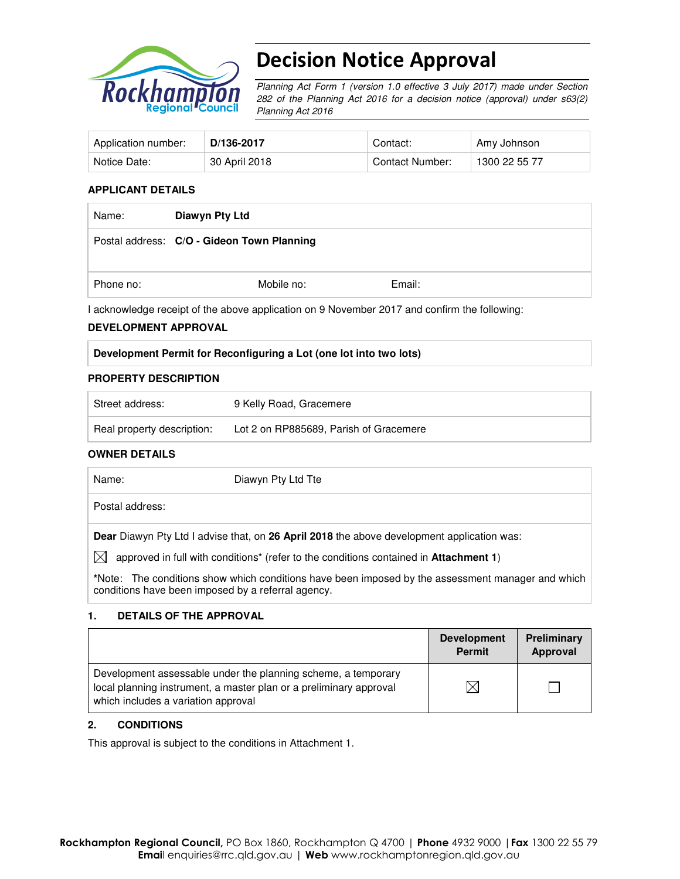

# Decision Notice Approval

Planning Act Form 1 (version 1.0 effective 3 July 2017) made under Section 282 of the Planning Act 2016 for a decision notice (approval) under s63(2) Planning Act 2016

| Application number: | D/136-2017    | Contact:        | Amy Johnson   |
|---------------------|---------------|-----------------|---------------|
| Notice Date:        | 30 April 2018 | Contact Number: | 1300 22 55 77 |

## **APPLICANT DETAILS**

| Name:     | Diawyn Pty Ltd                             |        |
|-----------|--------------------------------------------|--------|
|           | Postal address: C/O - Gideon Town Planning |        |
| Phone no: | Mobile no:                                 | Email: |

I acknowledge receipt of the above application on 9 November 2017 and confirm the following:

#### **DEVELOPMENT APPROVAL**

#### **Development Permit for Reconfiguring a Lot (one lot into two lots)**

#### **PROPERTY DESCRIPTION**

| Street address:            | 9 Kelly Road, Gracemere                |
|----------------------------|----------------------------------------|
| Real property description: | Lot 2 on RP885689, Parish of Gracemere |

#### **OWNER DETAILS**

| Name:           | Diawyn Pty Ltd Tte |
|-----------------|--------------------|
| Postal address: |                    |
|                 |                    |

**Dear** Diawyn Pty Ltd I advise that, on **26 April 2018** the above development application was:

 $\boxtimes$  approved in full with conditions<sup>\*</sup> (refer to the conditions contained in **Attachment 1**)

**\***Note:The conditions show which conditions have been imposed by the assessment manager and which conditions have been imposed by a referral agency.

#### **1. DETAILS OF THE APPROVAL**

|                                                                                                                                                                            | <b>Development</b><br><b>Permit</b> | Preliminary<br>Approval |
|----------------------------------------------------------------------------------------------------------------------------------------------------------------------------|-------------------------------------|-------------------------|
| Development assessable under the planning scheme, a temporary<br>local planning instrument, a master plan or a preliminary approval<br>which includes a variation approval |                                     |                         |

## **2. CONDITIONS**

This approval is subject to the conditions in Attachment 1.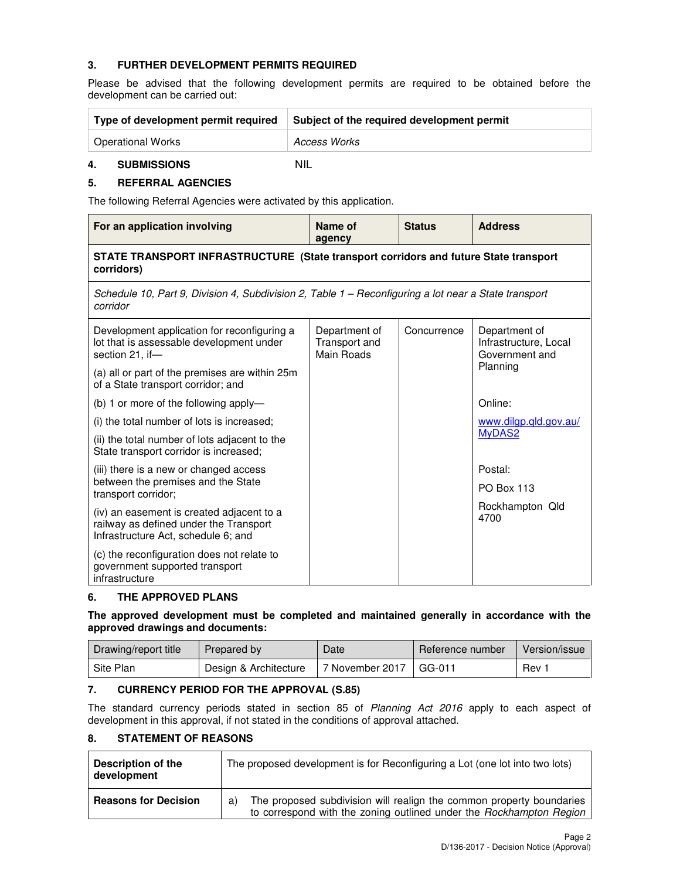## **3. FURTHER DEVELOPMENT PERMITS REQUIRED**

Please be advised that the following development permits are required to be obtained before the development can be carried out:

| Type of development permit required | Subject of the required development permit |  |
|-------------------------------------|--------------------------------------------|--|
| <b>Operational Works</b>            | Access Works                               |  |

### **4. SUBMISSIONS** NIL

**5. REFERRAL AGENCIES** 

The following Referral Agencies were activated by this application.

| For an application involving                                                                                               | Name of<br>agency                            | <b>Status</b> | <b>Address</b>                                           |  |  |
|----------------------------------------------------------------------------------------------------------------------------|----------------------------------------------|---------------|----------------------------------------------------------|--|--|
| STATE TRANSPORT INFRASTRUCTURE (State transport corridors and future State transport<br>corridors)                         |                                              |               |                                                          |  |  |
| Schedule 10, Part 9, Division 4, Subdivision 2, Table 1 – Reconfiguring a lot near a State transport<br>corridor           |                                              |               |                                                          |  |  |
| Development application for reconfiguring a<br>lot that is assessable development under<br>section 21, if-                 | Department of<br>Transport and<br>Main Roads | Concurrence   | Department of<br>Infrastructure, Local<br>Government and |  |  |
| (a) all or part of the premises are within 25m<br>of a State transport corridor; and                                       |                                              |               | Planning                                                 |  |  |
| (b) 1 or more of the following apply-                                                                                      |                                              |               | Online:                                                  |  |  |
| (i) the total number of lots is increased;                                                                                 |                                              |               | www.dilgp.qld.gov.au/                                    |  |  |
| (ii) the total number of lots adjacent to the<br>State transport corridor is increased;                                    |                                              |               | MyDAS2                                                   |  |  |
| (iii) there is a new or changed access                                                                                     |                                              |               | Postal:                                                  |  |  |
| between the premises and the State<br>transport corridor;                                                                  |                                              |               | <b>PO Box 113</b>                                        |  |  |
| (iv) an easement is created adjacent to a<br>railway as defined under the Transport<br>Infrastructure Act, schedule 6; and |                                              |               | Rockhampton Qld<br>4700                                  |  |  |
| (c) the reconfiguration does not relate to<br>government supported transport<br>infrastructure                             |                                              |               |                                                          |  |  |

#### **6. THE APPROVED PLANS**

### **The approved development must be completed and maintained generally in accordance with the approved drawings and documents:**

| Drawing/report title | Prepared by           | Date            | Reference number | Version/issue |
|----------------------|-----------------------|-----------------|------------------|---------------|
| Site Plan            | Design & Architecture | 7 November 2017 | I GG-011         | Rev           |

## **7. CURRENCY PERIOD FOR THE APPROVAL (S.85)**

The standard currency periods stated in section 85 of Planning Act 2016 apply to each aspect of development in this approval, if not stated in the conditions of approval attached.

## **8. STATEMENT OF REASONS**

| Description of the<br>development | The proposed development is for Reconfiguring a Lot (one lot into two lots)                                                                       |
|-----------------------------------|---------------------------------------------------------------------------------------------------------------------------------------------------|
| <b>Reasons for Decision</b>       | The proposed subdivision will realign the common property boundaries<br>a)<br>to correspond with the zoning outlined under the Rockhampton Region |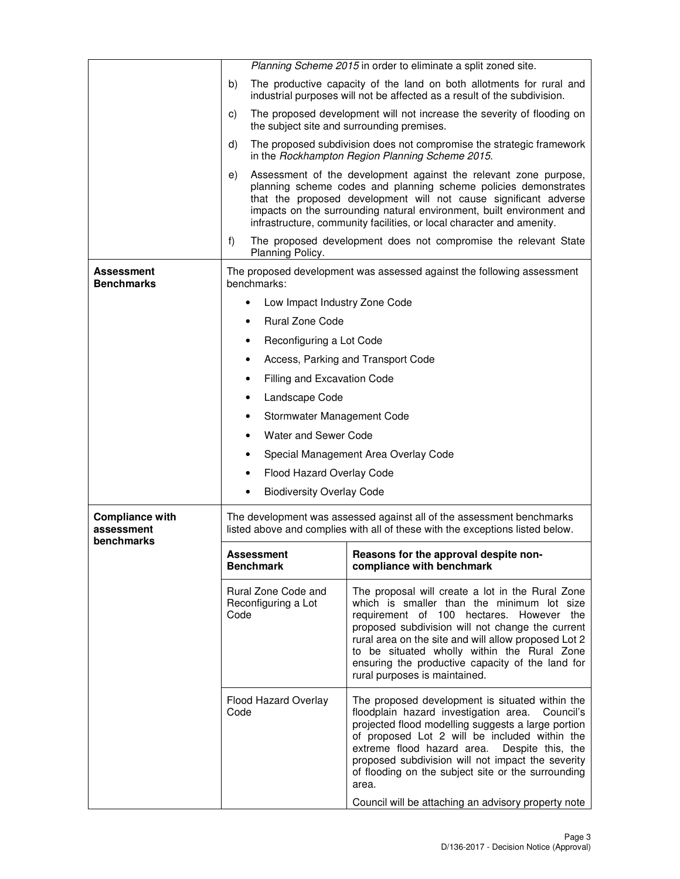|                                                    | Planning Scheme 2015 in order to eliminate a split zoned site. |                                                                                                                                                                                                                                                                                                                                                                                                                                         |  |
|----------------------------------------------------|----------------------------------------------------------------|-----------------------------------------------------------------------------------------------------------------------------------------------------------------------------------------------------------------------------------------------------------------------------------------------------------------------------------------------------------------------------------------------------------------------------------------|--|
|                                                    | b)                                                             | The productive capacity of the land on both allotments for rural and<br>industrial purposes will not be affected as a result of the subdivision.                                                                                                                                                                                                                                                                                        |  |
|                                                    | C)                                                             | The proposed development will not increase the severity of flooding on<br>the subject site and surrounding premises.                                                                                                                                                                                                                                                                                                                    |  |
|                                                    | d)                                                             | The proposed subdivision does not compromise the strategic framework<br>in the Rockhampton Region Planning Scheme 2015.                                                                                                                                                                                                                                                                                                                 |  |
|                                                    | e)                                                             | Assessment of the development against the relevant zone purpose,<br>planning scheme codes and planning scheme policies demonstrates<br>that the proposed development will not cause significant adverse<br>impacts on the surrounding natural environment, built environment and<br>infrastructure, community facilities, or local character and amenity.                                                                               |  |
|                                                    | f)<br>Planning Policy.                                         | The proposed development does not compromise the relevant State                                                                                                                                                                                                                                                                                                                                                                         |  |
| Assessment<br><b>Benchmarks</b>                    | benchmarks:                                                    | The proposed development was assessed against the following assessment                                                                                                                                                                                                                                                                                                                                                                  |  |
|                                                    | Low Impact Industry Zone Code                                  |                                                                                                                                                                                                                                                                                                                                                                                                                                         |  |
|                                                    | <b>Rural Zone Code</b><br>$\bullet$                            |                                                                                                                                                                                                                                                                                                                                                                                                                                         |  |
|                                                    | Reconfiguring a Lot Code                                       |                                                                                                                                                                                                                                                                                                                                                                                                                                         |  |
|                                                    |                                                                | Access, Parking and Transport Code                                                                                                                                                                                                                                                                                                                                                                                                      |  |
|                                                    | <b>Filling and Excavation Code</b>                             |                                                                                                                                                                                                                                                                                                                                                                                                                                         |  |
|                                                    | Landscape Code                                                 |                                                                                                                                                                                                                                                                                                                                                                                                                                         |  |
|                                                    | Stormwater Management Code                                     |                                                                                                                                                                                                                                                                                                                                                                                                                                         |  |
|                                                    | <b>Water and Sewer Code</b>                                    |                                                                                                                                                                                                                                                                                                                                                                                                                                         |  |
|                                                    |                                                                | Special Management Area Overlay Code                                                                                                                                                                                                                                                                                                                                                                                                    |  |
|                                                    | Flood Hazard Overlay Code<br>٠                                 |                                                                                                                                                                                                                                                                                                                                                                                                                                         |  |
|                                                    | <b>Biodiversity Overlay Code</b>                               |                                                                                                                                                                                                                                                                                                                                                                                                                                         |  |
| <b>Compliance with</b><br>assessment<br>benchmarks |                                                                | The development was assessed against all of the assessment benchmarks<br>listed above and complies with all of these with the exceptions listed below.                                                                                                                                                                                                                                                                                  |  |
|                                                    | <b>Assessment</b><br><b>Benchmark</b>                          | Reasons for the approval despite non-<br>compliance with benchmark                                                                                                                                                                                                                                                                                                                                                                      |  |
|                                                    | Rural Zone Code and<br>Reconfiguring a Lot<br>Code             | The proposal will create a lot in the Rural Zone<br>which is smaller than the minimum lot size<br>requirement of 100 hectares. However the<br>proposed subdivision will not change the current<br>rural area on the site and will allow proposed Lot 2<br>to be situated wholly within the Rural Zone<br>ensuring the productive capacity of the land for<br>rural purposes is maintained.                                              |  |
|                                                    | Flood Hazard Overlay<br>Code                                   | The proposed development is situated within the<br>floodplain hazard investigation area.<br>Council's<br>projected flood modelling suggests a large portion<br>of proposed Lot 2 will be included within the<br>extreme flood hazard area. Despite this, the<br>proposed subdivision will not impact the severity<br>of flooding on the subject site or the surrounding<br>area.<br>Council will be attaching an advisory property note |  |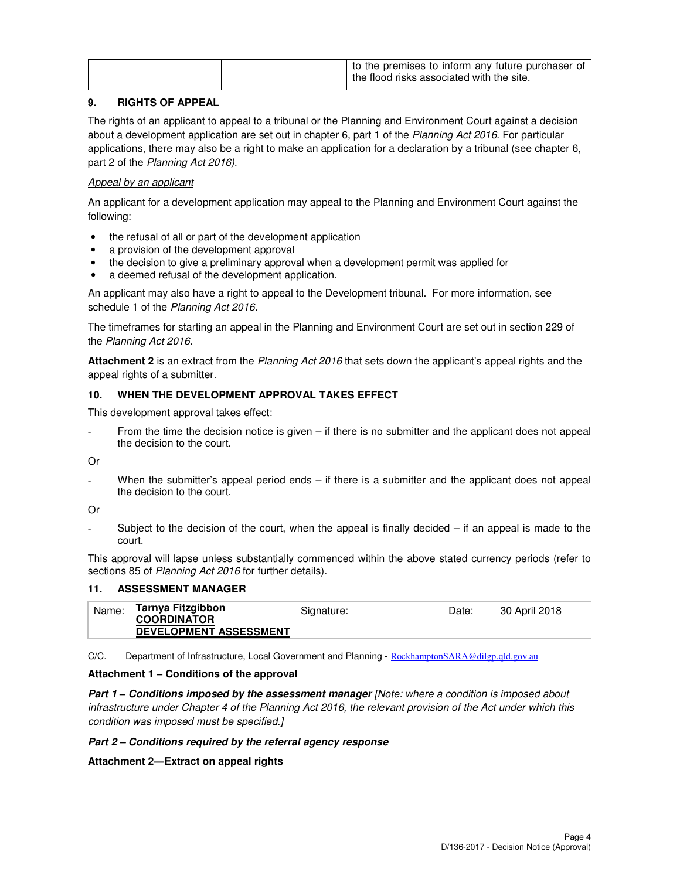|  | to the premises to inform any future purchaser of<br>the flood risks associated with the site. |
|--|------------------------------------------------------------------------------------------------|
|  |                                                                                                |

## **9. RIGHTS OF APPEAL**

The rights of an applicant to appeal to a tribunal or the Planning and Environment Court against a decision about a development application are set out in chapter 6, part 1 of the Planning Act 2016. For particular applications, there may also be a right to make an application for a declaration by a tribunal (see chapter 6, part 2 of the Planning Act 2016).

## Appeal by an applicant

An applicant for a development application may appeal to the Planning and Environment Court against the following:

- the refusal of all or part of the development application
- a provision of the development approval
- the decision to give a preliminary approval when a development permit was applied for
- a deemed refusal of the development application.

An applicant may also have a right to appeal to the Development tribunal. For more information, see schedule 1 of the Planning Act 2016.

The timeframes for starting an appeal in the Planning and Environment Court are set out in section 229 of the Planning Act 2016.

**Attachment 2** is an extract from the Planning Act 2016 that sets down the applicant's appeal rights and the appeal rights of a submitter.

## **10. WHEN THE DEVELOPMENT APPROVAL TAKES EFFECT**

This development approval takes effect:

From the time the decision notice is given  $-$  if there is no submitter and the applicant does not appeal the decision to the court.

Or

When the submitter's appeal period ends  $-$  if there is a submitter and the applicant does not appeal the decision to the court.

Or

Subject to the decision of the court, when the appeal is finally decided  $-$  if an appeal is made to the court.

This approval will lapse unless substantially commenced within the above stated currency periods (refer to sections 85 of Planning Act 2016 for further details).

## **11. ASSESSMENT MANAGER**

| Name: | Tarnya Fitzgibbon<br><b>COORDINATOR</b><br><b>DEVELOPMENT ASSESSMENT</b> | Signature: | Date: | 30 April 2018 |
|-------|--------------------------------------------------------------------------|------------|-------|---------------|
|       |                                                                          |            |       |               |

C/C. Department of Infrastructure, Local Government and Planning - RockhamptonSARA@dilgp.qld.gov.au

## **Attachment 1 – Conditions of the approval**

**Part 1 – Conditions imposed by the assessment manager [Note: where a condition is imposed about** infrastructure under Chapter 4 of the Planning Act 2016, the relevant provision of the Act under which this condition was imposed must be specified.]

## **Part 2 – Conditions required by the referral agency response**

**Attachment 2—Extract on appeal rights**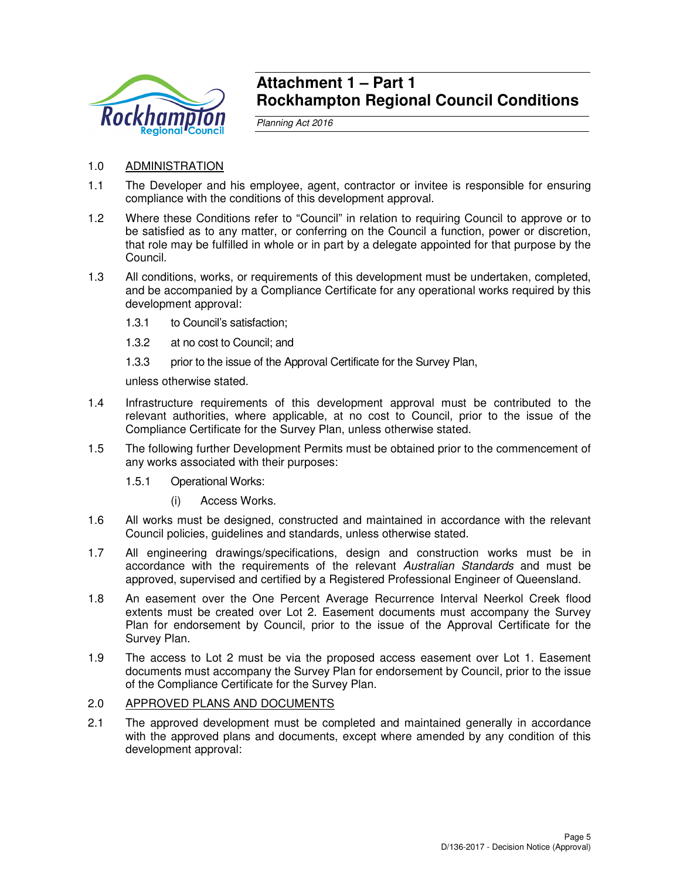

## **Attachment 1 – Part 1 Rockhampton Regional Council Conditions**

Planning Act 2016

- 1.0 ADMINISTRATION
- 1.1 The Developer and his employee, agent, contractor or invitee is responsible for ensuring compliance with the conditions of this development approval.
- 1.2 Where these Conditions refer to "Council" in relation to requiring Council to approve or to be satisfied as to any matter, or conferring on the Council a function, power or discretion, that role may be fulfilled in whole or in part by a delegate appointed for that purpose by the Council.
- 1.3 All conditions, works, or requirements of this development must be undertaken, completed, and be accompanied by a Compliance Certificate for any operational works required by this development approval:
	- 1.3.1 to Council's satisfaction;
	- 1.3.2 at no cost to Council; and
	- 1.3.3 prior to the issue of the Approval Certificate for the Survey Plan,

unless otherwise stated.

- 1.4 Infrastructure requirements of this development approval must be contributed to the relevant authorities, where applicable, at no cost to Council, prior to the issue of the Compliance Certificate for the Survey Plan, unless otherwise stated.
- 1.5 The following further Development Permits must be obtained prior to the commencement of any works associated with their purposes:
	- 1.5.1 Operational Works:
		- (i) Access Works.
- 1.6 All works must be designed, constructed and maintained in accordance with the relevant Council policies, guidelines and standards, unless otherwise stated.
- 1.7 All engineering drawings/specifications, design and construction works must be in accordance with the requirements of the relevant Australian Standards and must be approved, supervised and certified by a Registered Professional Engineer of Queensland.
- 1.8 An easement over the One Percent Average Recurrence Interval Neerkol Creek flood extents must be created over Lot 2. Easement documents must accompany the Survey Plan for endorsement by Council, prior to the issue of the Approval Certificate for the Survey Plan.
- 1.9 The access to Lot 2 must be via the proposed access easement over Lot 1. Easement documents must accompany the Survey Plan for endorsement by Council, prior to the issue of the Compliance Certificate for the Survey Plan.

## 2.0 APPROVED PLANS AND DOCUMENTS

2.1 The approved development must be completed and maintained generally in accordance with the approved plans and documents, except where amended by any condition of this development approval: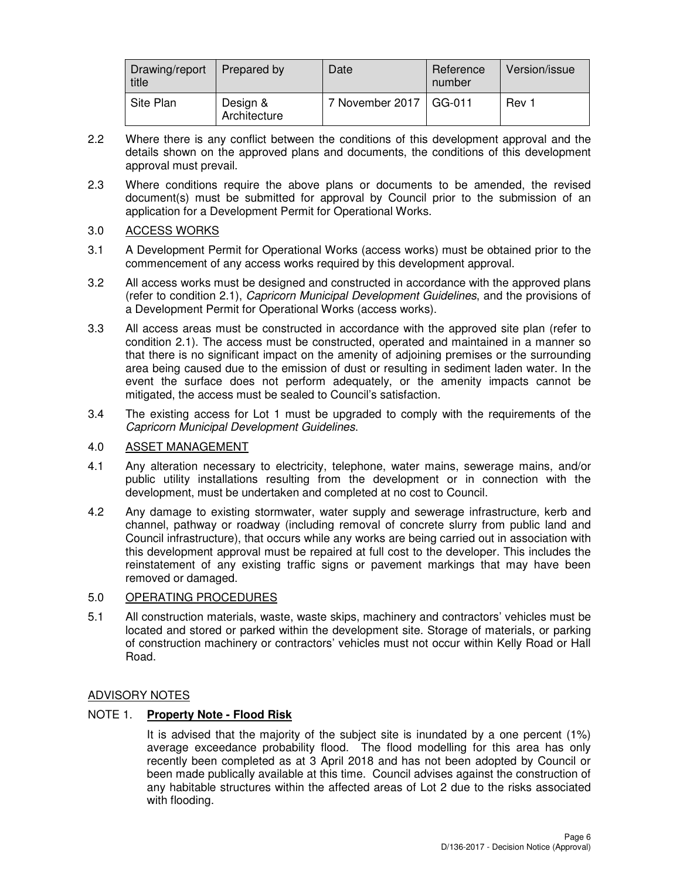| Drawing/report<br>title | Prepared by              | Date                     | Reference<br>number | Version/issue |
|-------------------------|--------------------------|--------------------------|---------------------|---------------|
| Site Plan               | Design &<br>Architecture | 7 November 2017   GG-011 |                     | Rev 1         |

- 2.2 Where there is any conflict between the conditions of this development approval and the details shown on the approved plans and documents, the conditions of this development approval must prevail.
- 2.3 Where conditions require the above plans or documents to be amended, the revised document(s) must be submitted for approval by Council prior to the submission of an application for a Development Permit for Operational Works.

## 3.0 ACCESS WORKS

- 3.1 A Development Permit for Operational Works (access works) must be obtained prior to the commencement of any access works required by this development approval.
- 3.2 All access works must be designed and constructed in accordance with the approved plans (refer to condition 2.1), Capricorn Municipal Development Guidelines, and the provisions of a Development Permit for Operational Works (access works).
- 3.3 All access areas must be constructed in accordance with the approved site plan (refer to condition 2.1). The access must be constructed, operated and maintained in a manner so that there is no significant impact on the amenity of adjoining premises or the surrounding area being caused due to the emission of dust or resulting in sediment laden water. In the event the surface does not perform adequately, or the amenity impacts cannot be mitigated, the access must be sealed to Council's satisfaction.
- 3.4 The existing access for Lot 1 must be upgraded to comply with the requirements of the Capricorn Municipal Development Guidelines.

## 4.0 ASSET MANAGEMENT

- 4.1 Any alteration necessary to electricity, telephone, water mains, sewerage mains, and/or public utility installations resulting from the development or in connection with the development, must be undertaken and completed at no cost to Council.
- 4.2 Any damage to existing stormwater, water supply and sewerage infrastructure, kerb and channel, pathway or roadway (including removal of concrete slurry from public land and Council infrastructure), that occurs while any works are being carried out in association with this development approval must be repaired at full cost to the developer. This includes the reinstatement of any existing traffic signs or pavement markings that may have been removed or damaged.

## 5.0 OPERATING PROCEDURES

5.1 All construction materials, waste, waste skips, machinery and contractors' vehicles must be located and stored or parked within the development site. Storage of materials, or parking of construction machinery or contractors' vehicles must not occur within Kelly Road or Hall Road.

## ADVISORY NOTES

## NOTE 1. **Property Note - Flood Risk**

It is advised that the majority of the subject site is inundated by a one percent (1%) average exceedance probability flood. The flood modelling for this area has only recently been completed as at 3 April 2018 and has not been adopted by Council or been made publically available at this time. Council advises against the construction of any habitable structures within the affected areas of Lot 2 due to the risks associated with flooding.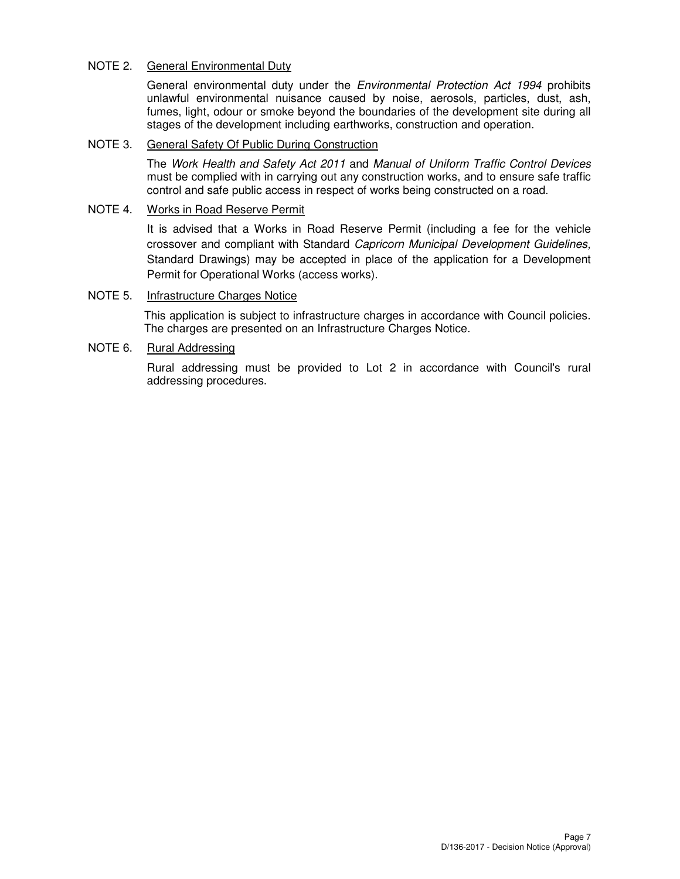## NOTE 2. General Environmental Duty

General environmental duty under the *Environmental Protection Act 1994* prohibits unlawful environmental nuisance caused by noise, aerosols, particles, dust, ash, fumes, light, odour or smoke beyond the boundaries of the development site during all stages of the development including earthworks, construction and operation.

## NOTE 3. General Safety Of Public During Construction

The Work Health and Safety Act 2011 and Manual of Uniform Traffic Control Devices must be complied with in carrying out any construction works, and to ensure safe traffic control and safe public access in respect of works being constructed on a road.

## NOTE 4. Works in Road Reserve Permit

It is advised that a Works in Road Reserve Permit (including a fee for the vehicle crossover and compliant with Standard Capricorn Municipal Development Guidelines, Standard Drawings) may be accepted in place of the application for a Development Permit for Operational Works (access works).

## NOTE 5. Infrastructure Charges Notice

This application is subject to infrastructure charges in accordance with Council policies. The charges are presented on an Infrastructure Charges Notice.

## NOTE 6. Rural Addressing

Rural addressing must be provided to Lot 2 in accordance with Council's rural addressing procedures.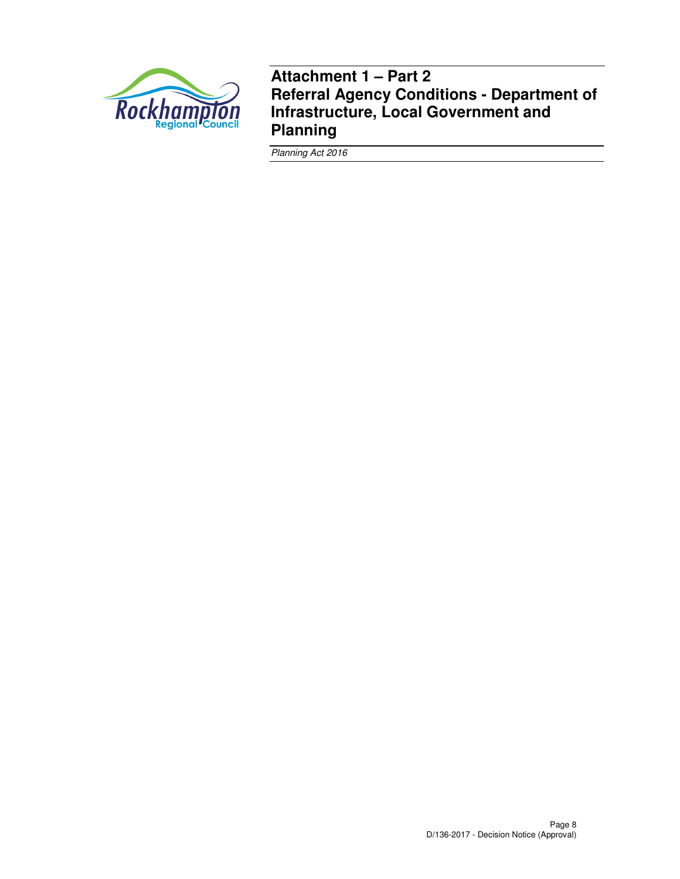

**Attachment 1 – Part 2 Referral Agency Conditions - Department of Infrastructure, Local Government and Planning** 

Planning Act 2016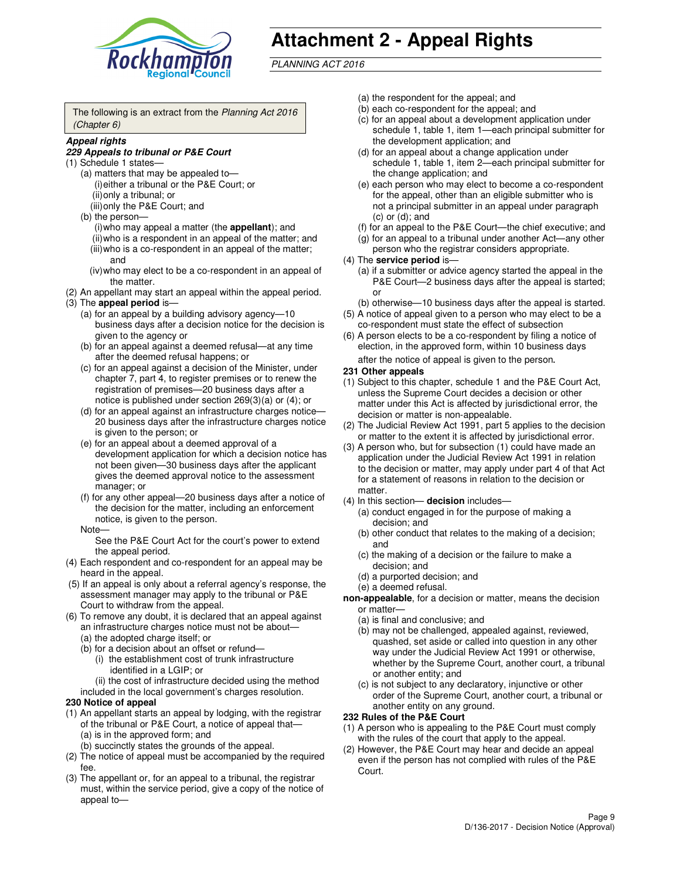

# **Attachment 2 - Appeal Rights**

PLANNING ACT 2016

The following is an extract from the Planning Act 2016 (Chapter 6)

#### **Appeal rights**

#### **229 Appeals to tribunal or P&E Court**

- (1) Schedule 1 states—
	- (a) matters that may be appealed to— (i) either a tribunal or the P&E Court; or (ii) only a tribunal; or (iii) only the P&E Court; and
	- (b) the person—
		- (i) who may appeal a matter (the **appellant**); and
		- (ii) who is a respondent in an appeal of the matter; and (iii) who is a co-respondent in an appeal of the matter;
		- and (iv) who may elect to be a co-respondent in an appeal of the matter.
- (2) An appellant may start an appeal within the appeal period.
- (3) The **appeal period** is—
	- (a) for an appeal by a building advisory agency—10 business days after a decision notice for the decision is given to the agency or
	- (b) for an appeal against a deemed refusal—at any time after the deemed refusal happens; or
	- (c) for an appeal against a decision of the Minister, under chapter 7, part 4, to register premises or to renew the registration of premises—20 business days after a notice is published under section 269(3)(a) or (4); or
	- (d) for an appeal against an infrastructure charges notice— 20 business days after the infrastructure charges notice is given to the person; or
	- (e) for an appeal about a deemed approval of a development application for which a decision notice has not been given—30 business days after the applicant gives the deemed approval notice to the assessment manager; or
	- (f) for any other appeal—20 business days after a notice of the decision for the matter, including an enforcement notice, is given to the person.
	- Note—

See the P&E Court Act for the court's power to extend the appeal period.

- (4) Each respondent and co-respondent for an appeal may be heard in the appeal.
- (5) If an appeal is only about a referral agency's response, the assessment manager may apply to the tribunal or P&E Court to withdraw from the appeal.
- (6) To remove any doubt, it is declared that an appeal against an infrastructure charges notice must not be about—
	- (a) the adopted charge itself; or
	- (b) for a decision about an offset or refund—
		- (i) the establishment cost of trunk infrastructure identified in a LGIP; or
		- (ii) the cost of infrastructure decided using the method
- included in the local government's charges resolution. **230 Notice of appeal**
- (1) An appellant starts an appeal by lodging, with the registrar of the tribunal or P&E Court, a notice of appeal that—
	- (a) is in the approved form; and
	- (b) succinctly states the grounds of the appeal.
- (2) The notice of appeal must be accompanied by the required fee.
- (3) The appellant or, for an appeal to a tribunal, the registrar must, within the service period, give a copy of the notice of appeal to—
- (a) the respondent for the appeal; and
- (b) each co-respondent for the appeal; and
- (c) for an appeal about a development application under schedule 1, table 1, item 1—each principal submitter for the development application; and
- (d) for an appeal about a change application under schedule 1, table 1, item 2—each principal submitter for the change application; and
- (e) each person who may elect to become a co-respondent for the appeal, other than an eligible submitter who is not a principal submitter in an appeal under paragraph  $(c)$  or  $(d)$ ; and
- (f) for an appeal to the P&E Court—the chief executive; and
- (g) for an appeal to a tribunal under another Act—any other person who the registrar considers appropriate.
- (4) The **service period** is—
	- (a) if a submitter or advice agency started the appeal in the P&E Court—2 business days after the appeal is started; or
	- (b) otherwise—10 business days after the appeal is started.
- (5) A notice of appeal given to a person who may elect to be a co-respondent must state the effect of subsection
- (6) A person elects to be a co-respondent by filing a notice of election, in the approved form, within 10 business days after the notice of appeal is given to the person*.*
- **231 Other appeals**
- (1) Subject to this chapter, schedule 1 and the P&E Court Act, unless the Supreme Court decides a decision or other matter under this Act is affected by jurisdictional error, the decision or matter is non-appealable.
- (2) The Judicial Review Act 1991, part 5 applies to the decision or matter to the extent it is affected by jurisdictional error.
- (3) A person who, but for subsection (1) could have made an application under the Judicial Review Act 1991 in relation to the decision or matter, may apply under part 4 of that Act for a statement of reasons in relation to the decision or matter.
- (4) In this section— **decision** includes—
	- (a) conduct engaged in for the purpose of making a decision; and
	- (b) other conduct that relates to the making of a decision; and
	- (c) the making of a decision or the failure to make a decision; and
	- (d) a purported decision; and
	- (e) a deemed refusal.

**non-appealable**, for a decision or matter, means the decision or matter—

- (a) is final and conclusive; and
- (b) may not be challenged, appealed against, reviewed, quashed, set aside or called into question in any other way under the Judicial Review Act 1991 or otherwise, whether by the Supreme Court, another court, a tribunal or another entity; and
- (c) is not subject to any declaratory, injunctive or other order of the Supreme Court, another court, a tribunal or another entity on any ground.

#### **232 Rules of the P&E Court**

- (1) A person who is appealing to the P&E Court must comply with the rules of the court that apply to the appeal.
- (2) However, the P&E Court may hear and decide an appeal even if the person has not complied with rules of the P&E Court.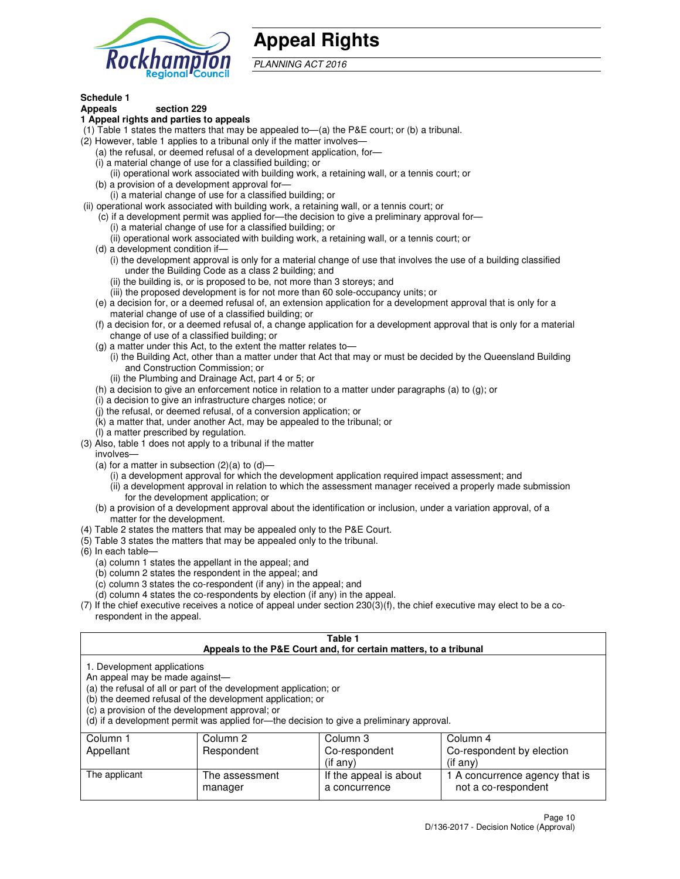

## **Appeal Rights**

PLANNING ACT 2016

## **Schedule 1**

## **Appeals section 229**

#### **1 Appeal rights and parties to appeals**

- (1) Table 1 states the matters that may be appealed to—(a) the P&E court; or (b) a tribunal.
- (2) However, table 1 applies to a tribunal only if the matter involves—
	- (a) the refusal, or deemed refusal of a development application, for—
	- (i) a material change of use for a classified building; or
	- (ii) operational work associated with building work, a retaining wall, or a tennis court; or
	- (b) a provision of a development approval for—
	- (i) a material change of use for a classified building; or
- (ii) operational work associated with building work, a retaining wall, or a tennis court; or
	- (c) if a development permit was applied for—the decision to give a preliminary approval for—
		- (i) a material change of use for a classified building; or
		- (ii) operational work associated with building work, a retaining wall, or a tennis court; or
	- (d) a development condition if—
		- (i) the development approval is only for a material change of use that involves the use of a building classified under the Building Code as a class 2 building; and
		- (ii) the building is, or is proposed to be, not more than 3 storeys; and
		- (iii) the proposed development is for not more than 60 sole-occupancy units; or
	- (e) a decision for, or a deemed refusal of, an extension application for a development approval that is only for a material change of use of a classified building; or
	- (f) a decision for, or a deemed refusal of, a change application for a development approval that is only for a material change of use of a classified building; or
	- (g) a matter under this Act, to the extent the matter relates to—
		- (i) the Building Act, other than a matter under that Act that may or must be decided by the Queensland Building and Construction Commission; or
		- (ii) the Plumbing and Drainage Act, part 4 or 5; or
	- (h) a decision to give an enforcement notice in relation to a matter under paragraphs (a) to (g); or
	- (i) a decision to give an infrastructure charges notice; or
	- (j) the refusal, or deemed refusal, of a conversion application; or
	- (k) a matter that, under another Act, may be appealed to the tribunal; or
	- (l) a matter prescribed by regulation.
- (3) Also, table 1 does not apply to a tribunal if the matter
	- involves—
	- (a) for a matter in subsection  $(2)(a)$  to  $(d)$ 
		- (i) a development approval for which the development application required impact assessment; and
		- (ii) a development approval in relation to which the assessment manager received a properly made submission for the development application; or
	- (b) a provision of a development approval about the identification or inclusion, under a variation approval, of a matter for the development.
- (4) Table 2 states the matters that may be appealed only to the P&E Court.
- (5) Table 3 states the matters that may be appealed only to the tribunal.
- (6) In each table—
	- (a) column 1 states the appellant in the appeal; and
	- (b) column 2 states the respondent in the appeal; and
	- (c) column 3 states the co-respondent (if any) in the appeal; and
	- (d) column 4 states the co-respondents by election (if any) in the appeal.
- $(7)$  If the chief executive receives a notice of appeal under section  $230(3)(f)$ , the chief executive may elect to be a corespondent in the appeal.

| Table 1<br>Appeals to the P&E Court and, for certain matters, to a tribunal                                      |                                                                                                                                                                                                                            |                                         |                                                       |  |
|------------------------------------------------------------------------------------------------------------------|----------------------------------------------------------------------------------------------------------------------------------------------------------------------------------------------------------------------------|-----------------------------------------|-------------------------------------------------------|--|
| 1. Development applications<br>An appeal may be made against-<br>(c) a provision of the development approval; or | (a) the refusal of all or part of the development application; or<br>(b) the deemed refusal of the development application; or<br>(d) if a development permit was applied for—the decision to give a preliminary approval. |                                         |                                                       |  |
| Column 3<br>Column 1<br>Column 2<br>Column 4                                                                     |                                                                                                                                                                                                                            |                                         |                                                       |  |
| Co-respondent by election<br>Appellant<br>Respondent<br>Co-respondent<br>(if any)<br>$($ if any $)$              |                                                                                                                                                                                                                            |                                         |                                                       |  |
| The applicant                                                                                                    | The assessment<br>manager                                                                                                                                                                                                  | If the appeal is about<br>a concurrence | 1 A concurrence agency that is<br>not a co-respondent |  |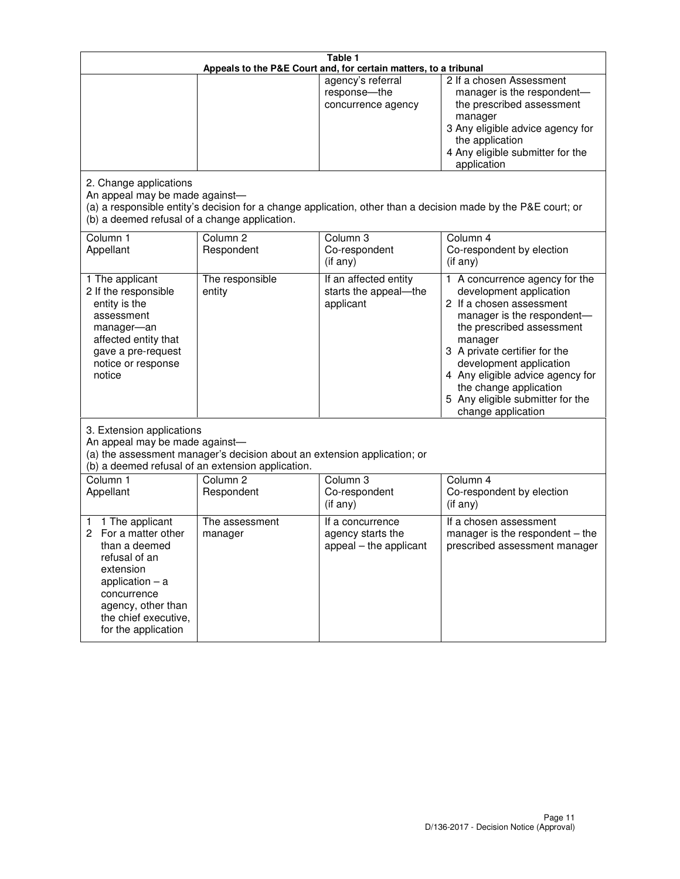| Table 1<br>Appeals to the P&E Court and, for certain matters, to a tribunal                                                                                                                             |                                                                                                                               |                                                                 |                                                                                                                                                                                                                                                                                                                                                 |
|---------------------------------------------------------------------------------------------------------------------------------------------------------------------------------------------------------|-------------------------------------------------------------------------------------------------------------------------------|-----------------------------------------------------------------|-------------------------------------------------------------------------------------------------------------------------------------------------------------------------------------------------------------------------------------------------------------------------------------------------------------------------------------------------|
| 2. Change applications                                                                                                                                                                                  |                                                                                                                               | agency's referral<br>response-the<br>concurrence agency         | 2 If a chosen Assessment<br>manager is the respondent-<br>the prescribed assessment<br>manager<br>3 Any eligible advice agency for<br>the application<br>4 Any eligible submitter for the<br>application                                                                                                                                        |
| An appeal may be made against-<br>(b) a deemed refusal of a change application.                                                                                                                         |                                                                                                                               |                                                                 | (a) a responsible entity's decision for a change application, other than a decision made by the P&E court; or                                                                                                                                                                                                                                   |
| Column 1<br>Appellant                                                                                                                                                                                   | Column <sub>2</sub><br>Respondent                                                                                             | Column <sub>3</sub><br>Co-respondent<br>(if any)                | Column 4<br>Co-respondent by election<br>(if any)                                                                                                                                                                                                                                                                                               |
| 1 The applicant<br>2 If the responsible<br>entity is the<br>assessment<br>manager-an<br>affected entity that<br>gave a pre-request<br>notice or response<br>notice                                      | The responsible<br>entity                                                                                                     | If an affected entity<br>starts the appeal-the<br>applicant     | 1 A concurrence agency for the<br>development application<br>2 If a chosen assessment<br>manager is the respondent-<br>the prescribed assessment<br>manager<br>3 A private certifier for the<br>development application<br>4 Any eligible advice agency for<br>the change application<br>5 Any eligible submitter for the<br>change application |
| 3. Extension applications<br>An appeal may be made against-                                                                                                                                             | (a) the assessment manager's decision about an extension application; or<br>(b) a deemed refusal of an extension application. |                                                                 |                                                                                                                                                                                                                                                                                                                                                 |
| Column 1<br>Appellant                                                                                                                                                                                   | Column <sub>2</sub><br>Respondent                                                                                             | Column <sub>3</sub><br>Co-respondent<br>(if any)                | Column 4<br>Co-respondent by election<br>(if any)                                                                                                                                                                                                                                                                                               |
| 1 The applicant<br>1<br>For a matter other<br>2<br>than a deemed<br>refusal of an<br>extension<br>application $-$ a<br>concurrence<br>agency, other than<br>the chief executive,<br>for the application | The assessment<br>manager                                                                                                     | If a concurrence<br>agency starts the<br>appeal - the applicant | If a chosen assessment<br>manager is the respondent $-$ the<br>prescribed assessment manager                                                                                                                                                                                                                                                    |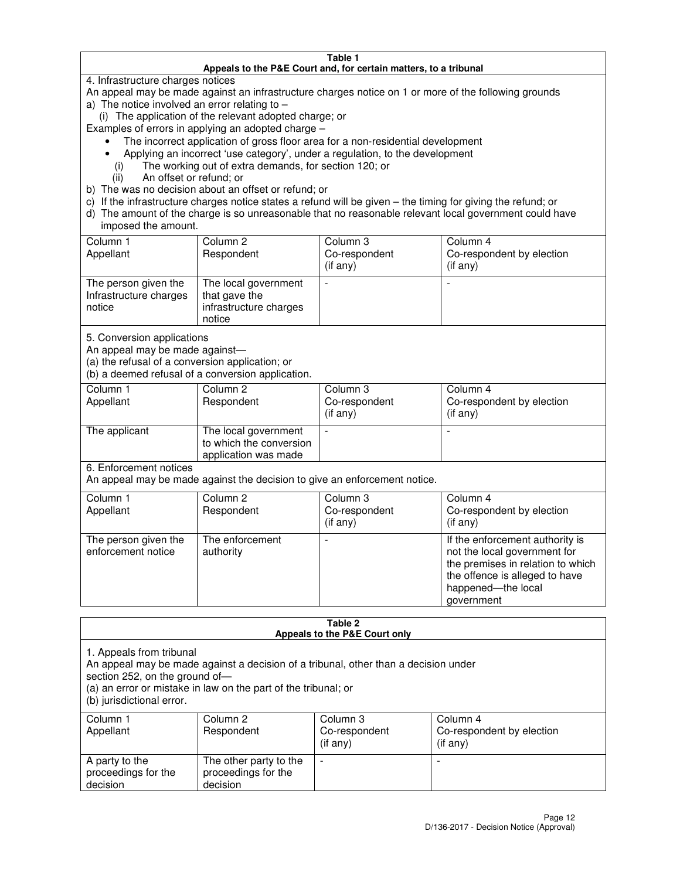#### **Table 1 Appeals to the P&E Court and, for certain matters, to a tribunal**

4. Infrastructure charges notices

An appeal may be made against an infrastructure charges notice on 1 or more of the following grounds

- a) The notice involved an error relating to
	- (i) The application of the relevant adopted charge; or
- Examples of errors in applying an adopted charge
	- The incorrect application of gross floor area for a non-residential development
	- Applying an incorrect 'use category', under a regulation, to the development
		- (i) The working out of extra demands, for section 120; or
		- (ii) An offset or refund; or
- b) The was no decision about an offset or refund; or
- c) If the infrastructure charges notice states a refund will be given the timing for giving the refund; or
- d) The amount of the charge is so unreasonable that no reasonable relevant local government could have imposed the amount.

| Column 1<br>Appellant                                    | Column 2<br>Respondent                                                    | Column 3<br>Co-respondent<br>$($ if any $)$ | Column 4<br>Co-respondent by election<br>$($ if any $)$ |
|----------------------------------------------------------|---------------------------------------------------------------------------|---------------------------------------------|---------------------------------------------------------|
| The person given the<br>Infrastructure charges<br>notice | The local government<br>that gave the<br>infrastructure charges<br>notice |                                             |                                                         |

5. Conversion applications

An appeal may be made against—

(a) the refusal of a conversion application; or

(b) a deemed refusal of a conversion application.

| Column 1<br>Appellant | Column 2<br>Respondent                                                  | Column 3<br>Co-respondent<br>$($ if any $)$ | Column 4<br>Co-respondent by election<br>$($ if any $)$ |
|-----------------------|-------------------------------------------------------------------------|---------------------------------------------|---------------------------------------------------------|
| The applicant         | The local government<br>to which the conversion<br>application was made |                                             |                                                         |

6. Enforcement notices

An appeal may be made against the decision to give an enforcement notice.

| Column 1<br>Appellant                      | Column 2<br>Respondent       | Column 3<br>Co-respondent<br>$($ if any $)$ | Column 4<br>Co-respondent by election<br>(if any)                                                                                                                          |
|--------------------------------------------|------------------------------|---------------------------------------------|----------------------------------------------------------------------------------------------------------------------------------------------------------------------------|
| The person given the<br>enforcement notice | The enforcement<br>authority |                                             | If the enforcement authority is<br>not the local government for<br>the premises in relation to which<br>the offence is alleged to have<br>happened-the local<br>government |

#### **Table 2 Appeals to the P&E Court only**

1. Appeals from tribunal

An appeal may be made against a decision of a tribunal, other than a decision under

section 252, on the ground of—

(a) an error or mistake in law on the part of the tribunal; or

(b) jurisdictional error.

| Column 1<br>Appellant                             | Column 2<br>Respondent                                    | Column 3<br>Co-respondent<br>(if any) | Column 4<br>Co-respondent by election<br>(if any) |
|---------------------------------------------------|-----------------------------------------------------------|---------------------------------------|---------------------------------------------------|
| A party to the<br>proceedings for the<br>decision | The other party to the<br>proceedings for the<br>decision | $\overline{\phantom{a}}$              |                                                   |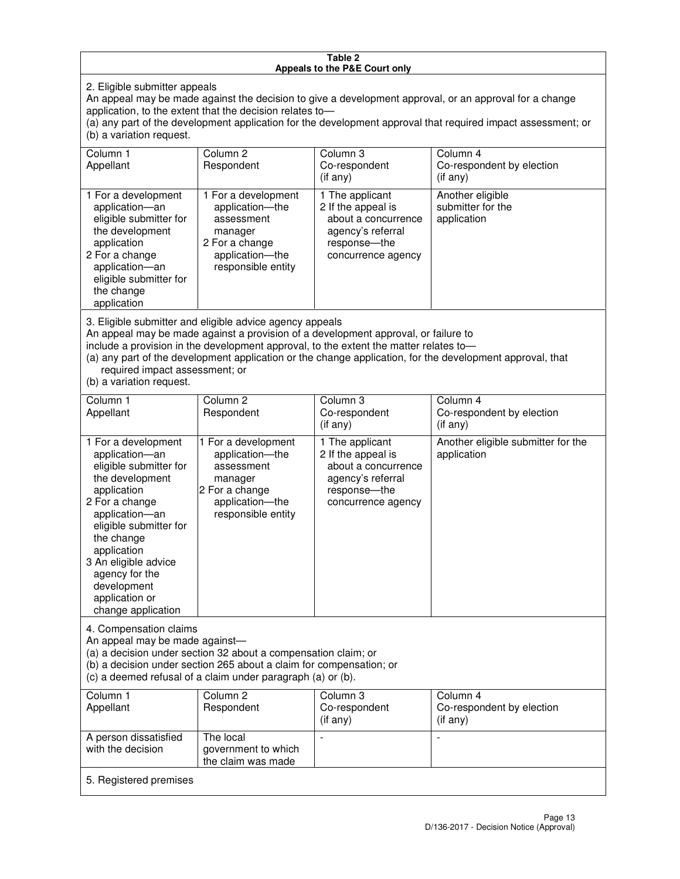#### **Table 2 Appeals to the P&E Court only**

2. Eligible submitter appeals

An appeal may be made against the decision to give a development approval, or an approval for a change application, to the extent that the decision relates to—

(a) any part of the development application for the development approval that required impact assessment; or (b) a variation request.

| Column 1<br>Appellant                                                                                                                                                                                                                                                                                                                                                                                              | Column 2<br>Respondent                                                                                                     | Column 3<br>Co-respondent<br>$($ if any $)$                                                                               | Column 4<br>Co-respondent by election<br>(i f any)   |
|--------------------------------------------------------------------------------------------------------------------------------------------------------------------------------------------------------------------------------------------------------------------------------------------------------------------------------------------------------------------------------------------------------------------|----------------------------------------------------------------------------------------------------------------------------|---------------------------------------------------------------------------------------------------------------------------|------------------------------------------------------|
| 1 For a development<br>application-an<br>eligible submitter for<br>the development<br>application<br>2 For a change<br>application-an<br>eligible submitter for<br>the change<br>application                                                                                                                                                                                                                       | 1 For a development<br>application-the<br>assessment<br>manager<br>2 For a change<br>application-the<br>responsible entity | 1 The applicant<br>2 If the appeal is<br>about a concurrence<br>agency's referral<br>response---the<br>concurrence agency | Another eligible<br>submitter for the<br>application |
| 3. Eligible submitter and eligible advice agency appeals<br>An appeal may be made against a provision of a development approval, or failure to<br>include a provision in the development approval, to the extent the matter relates to-<br>(a) any part of the development application or the change application, for the development approval, that<br>required impact assessment; or<br>(b) a variation request. |                                                                                                                            |                                                                                                                           |                                                      |
| Column <sub>1</sub>                                                                                                                                                                                                                                                                                                                                                                                                | Column <sub>2</sub>                                                                                                        | Column 3                                                                                                                  | Column 4                                             |
| Appellant                                                                                                                                                                                                                                                                                                                                                                                                          | Respondent                                                                                                                 | Co-respondent<br>(if any)                                                                                                 | Co-respondent by election<br>(i f any)               |
| 1 For a development<br>application-an<br>eligible submitter for<br>the development<br>application                                                                                                                                                                                                                                                                                                                  | 1 For a development<br>application-the<br>assessment<br>manager<br>2 For a change                                          | 1 The applicant<br>2 If the appeal is<br>about a concurrence<br>agency's referral<br>response---the                       | Another eligible submitter for the<br>application    |

concurrence agency

4. Compensation claims

2 For a change application—an eligible submitter for

the change application 3 An eligible advice agency for the development application or change application

An appeal may be made against—

(a) a decision under section 32 about a compensation claim; or

(b) a decision under section 265 about a claim for compensation; or

application—the responsible entity

(c) a deemed refusal of a claim under paragraph (a) or (b).

| Column 1<br>Appellant                      | Column 2<br>Respondent                                 | Column 3<br>Co-respondent<br>$(if$ any) | Column 4<br>Co-respondent by election<br>(if any) |
|--------------------------------------------|--------------------------------------------------------|-----------------------------------------|---------------------------------------------------|
| A person dissatisfied<br>with the decision | The local<br>government to which<br>the claim was made | $\,$                                    |                                                   |
| 5. Registered premises                     |                                                        |                                         |                                                   |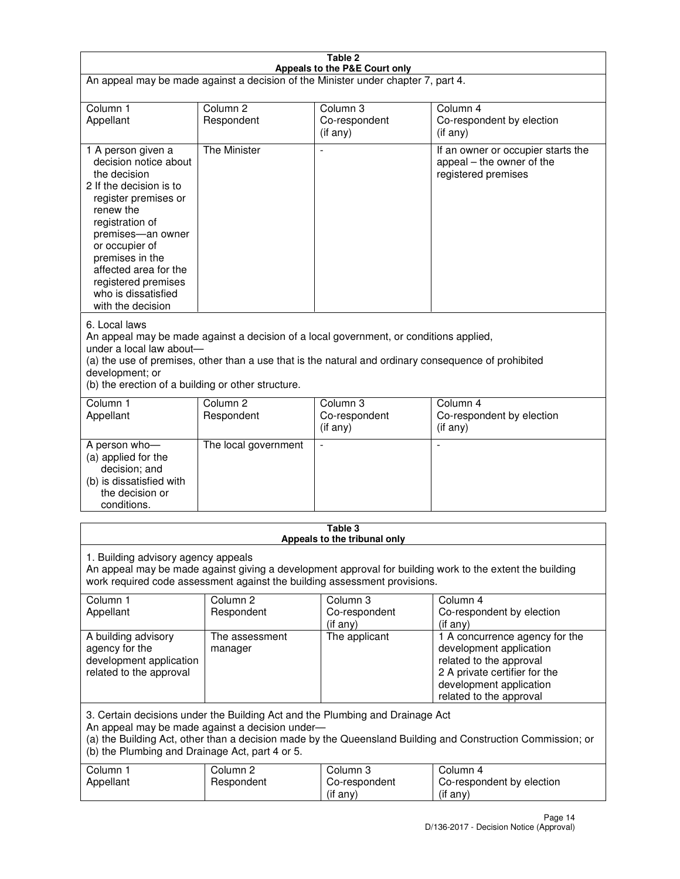| Table 2                                                                                                                                                                                                                                                                                                              |                                   |                                                                           |                                                                                                                                                                             |  |
|----------------------------------------------------------------------------------------------------------------------------------------------------------------------------------------------------------------------------------------------------------------------------------------------------------------------|-----------------------------------|---------------------------------------------------------------------------|-----------------------------------------------------------------------------------------------------------------------------------------------------------------------------|--|
| Appeals to the P&E Court only<br>An appeal may be made against a decision of the Minister under chapter 7, part 4.                                                                                                                                                                                                   |                                   |                                                                           |                                                                                                                                                                             |  |
| Column 1                                                                                                                                                                                                                                                                                                             | Column <sub>2</sub>               | Column <sub>3</sub>                                                       | Column 4                                                                                                                                                                    |  |
| Appellant                                                                                                                                                                                                                                                                                                            | Respondent                        | Co-respondent<br>(if any)                                                 | Co-respondent by election<br>(if any)                                                                                                                                       |  |
| 1 A person given a<br>decision notice about<br>the decision<br>2 If the decision is to<br>register premises or<br>renew the<br>registration of<br>premises-an owner<br>or occupier of<br>premises in the<br>affected area for the<br>registered premises<br>who is dissatisfied<br>with the decision                 | <b>The Minister</b>               | ÷,                                                                        | If an owner or occupier starts the<br>appeal – the owner of the<br>registered premises                                                                                      |  |
| 6. Local laws<br>An appeal may be made against a decision of a local government, or conditions applied,<br>under a local law about-<br>(a) the use of premises, other than a use that is the natural and ordinary consequence of prohibited<br>development; or<br>(b) the erection of a building or other structure. |                                   |                                                                           |                                                                                                                                                                             |  |
| Column 1<br>Appellant                                                                                                                                                                                                                                                                                                | Column 2<br>Respondent            | Column 3<br>Co-respondent<br>(if any)                                     | Column 4<br>Co-respondent by election<br>(if any)                                                                                                                           |  |
| A person who-<br>(a) applied for the<br>decision; and<br>(b) is dissatisfied with<br>the decision or<br>conditions.                                                                                                                                                                                                  | The local government              |                                                                           |                                                                                                                                                                             |  |
|                                                                                                                                                                                                                                                                                                                      |                                   | Table 3<br>Appeals to the tribunal only                                   |                                                                                                                                                                             |  |
| 1. Building advisory agency appeals                                                                                                                                                                                                                                                                                  |                                   | work required code assessment against the building assessment provisions. | An appeal may be made against giving a development approval for building work to the extent the building                                                                    |  |
| Column 1<br>Appellant                                                                                                                                                                                                                                                                                                | Column <sub>2</sub><br>Respondent | Column 3<br>Co-respondent<br>(if any)                                     | Column 4<br>Co-respondent by election<br>(if any)                                                                                                                           |  |
| A building advisory<br>agency for the<br>development application<br>related to the approval                                                                                                                                                                                                                          | The assessment<br>manager         | The applicant                                                             | 1 A concurrence agency for the<br>development application<br>related to the approval<br>2 A private certifier for the<br>development application<br>related to the approval |  |
| 3. Certain decisions under the Building Act and the Plumbing and Drainage Act<br>An appeal may be made against a decision under-<br>(a) the Building Act, other than a decision made by the Queensland Building and Construction Commission; or<br>(b) the Plumbing and Drainage Act, part 4 or 5.                   |                                   |                                                                           |                                                                                                                                                                             |  |
| Column 1<br>Appellant                                                                                                                                                                                                                                                                                                | Column <sub>2</sub><br>Respondent | Column 3<br>Co-respondent<br>(if any)                                     | Column 4<br>Co-respondent by election<br>(if any)                                                                                                                           |  |